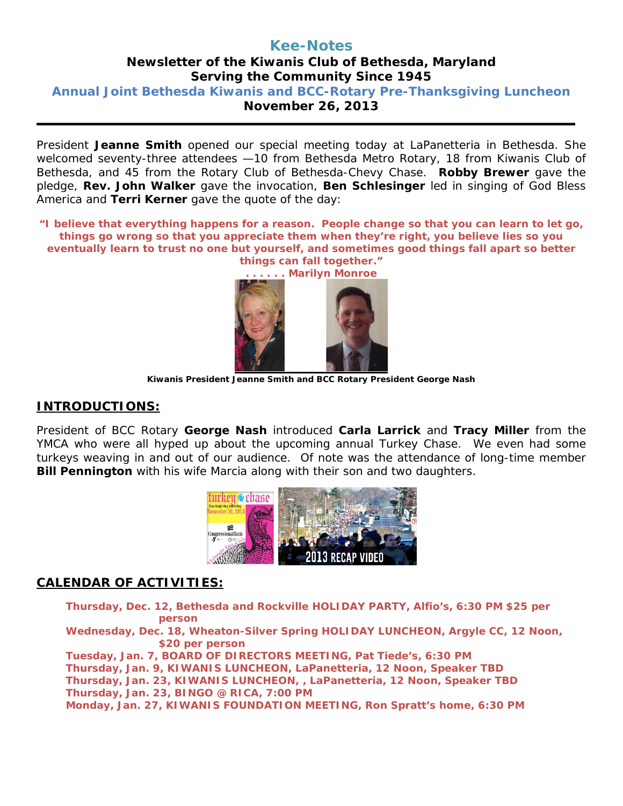## **Kee-Notes Newsletter of the Kiwanis Club of Bethesda, Maryland Serving the Community Since 1945 Annual Joint Bethesda Kiwanis and BCC-Rotary Pre-Thanksgiving Luncheon November 26, 2013**

President **Jeanne Smith** opened our special meeting today at LaPanetteria in Bethesda. She welcomed seventy-three attendees —10 from Bethesda Metro Rotary, 18 from Kiwanis Club of Bethesda, and 45 from the Rotary Club of Bethesda-Chevy Chase. **Robby Brewer** gave the pledge, **Rev. John Walker** gave the invocation, **Ben Schlesinger** led in singing of God Bless America and **Terri Kerner** gave the quote of the day:

*"I believe that everything happens for a reason. People change so that you can learn to let go, things go wrong so that you appreciate them when they're right, you believe lies so you eventually learn to trust no one but yourself, and sometimes good things fall apart so better things can fall together."*



 **Kiwanis President Jeanne Smith and BCC Rotary President George Nash**

## **INTRODUCTIONS:**

President of BCC Rotary **George Nash** introduced **Carla Larrick** and **Tracy Miller** from the YMCA who were all hyped up about the upcoming annual Turkey Chase. We even had some turkeys weaving in and out of our audience. Of note was the attendance of long-time member **Bill Pennington** with his wife Marcia along with their son and two daughters.



## **CALENDAR OF ACTIVITIES:**

**Thursday, Dec. 12, Bethesda and Rockville HOLIDAY PARTY, Alfio's, 6:30 PM \$25 per person**

**Wednesday, Dec. 18, Wheaton-Silver Spring HOLIDAY LUNCHEON, Argyle CC, 12 Noon, \$20 per person**

**Tuesday, Jan. 7, BOARD OF DIRECTORS MEETING, Pat Tiede's, 6:30 PM Thursday, Jan. 9, KIWANIS LUNCHEON, LaPanetteria, 12 Noon, Speaker TBD Thursday, Jan. 23, KIWANIS LUNCHEON, , LaPanetteria, 12 Noon, Speaker TBD Thursday, Jan. 23, BINGO @ RICA, 7:00 PM Monday, Jan. 27, KIWANIS FOUNDATION MEETING, Ron Spratt's home, 6:30 PM**